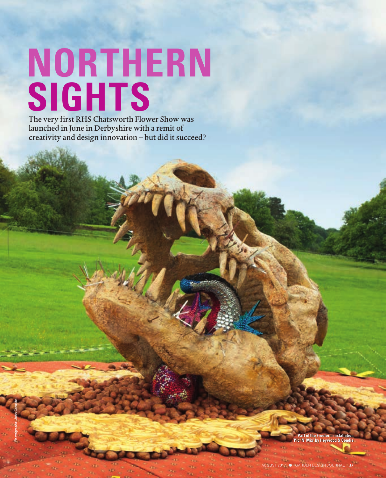# **NORTHERN SIGHTS**

The very first RHS Chatsworth Flower Show was launched in June in Derbyshire with a remit of creativity and design innovation – but did it succeed?

**Photographs:** John Campbell

*<u><b>I* the Freeform installation</u> **Heywood & Cond**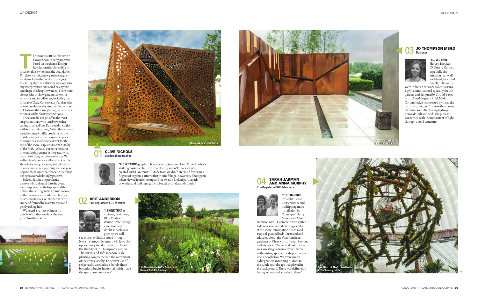## JO THOMPSON MSGD

**THE INS Chatsworth Flower Show in early June was based on the theme Design Revolutionaries', intending to focus on those who push the boundaries.** Flower Show in early June was based on the theme 'Design Revolutionaries', intending to To reference this, a new garden category was launched – the Freeform category. These unjudged installations were open to any interpretation and could be any size and shape the designer wanted. There were also a series of show gardens, as well as artworks and installations, including the inflatable 'Great Conservatory' and a series of wind sculptures by Andrew Lee in front of Chatsworth House (below), which made the most of the blustery conditions.

The event did not get off to the most auspicious start, with terrible weather calling a halt to Press Day, and difficulties with traffic and parking. "After the extreme weather caused traffic problems on the first day, we put extra measures in place to ensure that traffic moved well for the rest of the show," explains Hannah Dolby of the RHS. "We also put extra resource into managing queues at the gates, which became too long on the second day. We will certainly embrace all feedback on the show in its inaugural year, and will take it into account in our planning for next year. Beyond these issues, feedback on the show has been overwhelmingly positive."

Indeed, despite the problems, visitors who did make it to the event were impressed with displays and the unbeatable setting in the grounds of one of the country's most admired historic estates and houses, on the banks of the river and framed by majestic trees and gently rolling hills.

We asked a variety of industry people what they made of the new great Northern show.

**"I LOVE TAKING** graphic photos of sculpture, and liked David Harber's striking broken cube, in the Freeform garden 'Curves & Cube', created with Gaze Burvill. Made from oxidized steel and featuring a filigree of organic patterns that mimic foliage, it was very photogenic when viewed from close up and far away. It looked particularly powerful and striking against a backdrop of sky and clouds."

#### 04 SARAH JARMAN **Pre-Registered SGD Members**





an inaugural show, RHS Chatsworth demonstrated design evolution and no doubt as each year goes by we will

see more revolution come through. Newer, younger designers will have the opportunity to take the helm. I loved the fluidity of Jo Thompson's garden. The curves and soft, meadow-style planting complemented the movement of the river close by. The clever use of rebar really worked as a 'barely there' boundary, but its industrial finish made the space contemporary."

01 CLIVE NICHOLS **Garden photographer**



## 02 ARIT ANDERSON **Pre-Registered SGD Member**







Hervey-Brookes' IQ Quarry Garden, especially the

amazing rear wall with bold, beautiful panels." The walls

were in fact an artwork called 'Passing Light', commissioned specially for the garden, and designed by Stroud-based artist Ann-Margreth Bohl. Made of Corten steel, it was treated by the artist by hand on site at Chatsworth to create the distressed effect using hydrogen peroxide, salt and acid. The piece is concerned with the movement of light through a solid structure.

**"THE 14M-HIGH** inflatable Great Conservatory and its dripping moss installation by Cityscapes' Darryl Moore and Adolfo

Harrison MSGD, complete with glitter ball, was a brave and exciting exhibit at the show. Information boards and tropical-planted beds illustrated and educated about the Victorian head gardener of Chatsworth, Joseph Paxton, and his work. The central installation was arresting, a moss-covered frame with misting sprays that dripped water into a pool below. We even saw an older gentleman tapping his foot to the subtle soundscape that played in the background. There was definitely a feeling of awe and wonder in there."